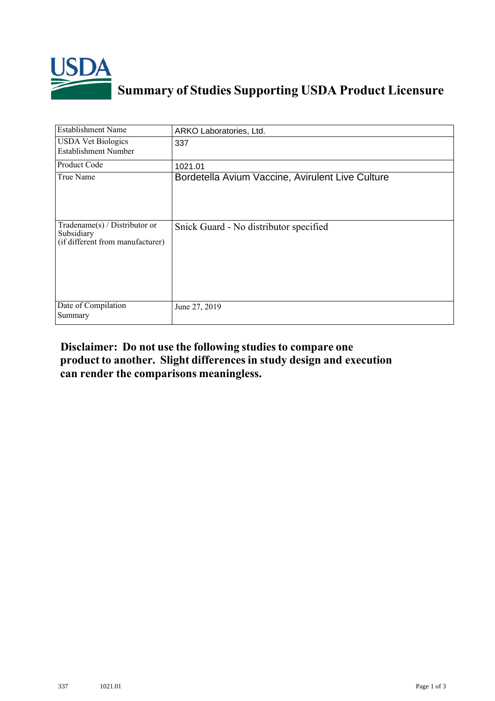

## **Summary of Studies Supporting USDA Product Licensure**

| <b>Establishment Name</b>                                                         | ARKO Laboratories, Ltd.                          |
|-----------------------------------------------------------------------------------|--------------------------------------------------|
| <b>USDA Vet Biologics</b><br><b>Establishment Number</b>                          | 337                                              |
| <b>Product Code</b>                                                               | 1021.01                                          |
| True Name                                                                         | Bordetella Avium Vaccine, Avirulent Live Culture |
| $Tradename(s) / Distributor$ or<br>Subsidiary<br>(if different from manufacturer) | Snick Guard - No distributor specified           |
| Date of Compilation<br>Summary                                                    | June 27, 2019                                    |

## **Disclaimer: Do not use the following studiesto compare one product to another. Slight differencesin study design and execution can render the comparisons meaningless.**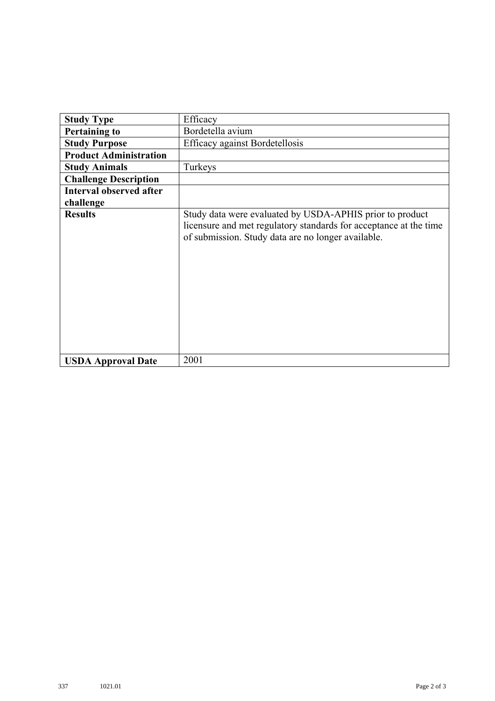| <b>Study Type</b>              | Efficacy                                                                                                                                                                            |
|--------------------------------|-------------------------------------------------------------------------------------------------------------------------------------------------------------------------------------|
| <b>Pertaining to</b>           | Bordetella avium                                                                                                                                                                    |
| <b>Study Purpose</b>           | <b>Efficacy against Bordetellosis</b>                                                                                                                                               |
| <b>Product Administration</b>  |                                                                                                                                                                                     |
| <b>Study Animals</b>           | Turkeys                                                                                                                                                                             |
| <b>Challenge Description</b>   |                                                                                                                                                                                     |
| <b>Interval observed after</b> |                                                                                                                                                                                     |
| challenge                      |                                                                                                                                                                                     |
| <b>Results</b>                 | Study data were evaluated by USDA-APHIS prior to product<br>licensure and met regulatory standards for acceptance at the time<br>of submission. Study data are no longer available. |
| <b>USDA Approval Date</b>      | 2001                                                                                                                                                                                |